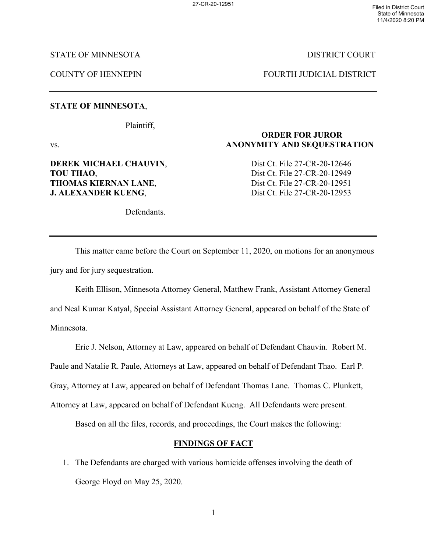State of Minnesota 11/4/2020 8:20 PM

STATE OF MINNESOTA DISTRICT COURT

COUNTY OF HENNEPIN FOURTH JUDICIAL DISTRICT

# **STATE OF MINNESOTA**,

Plaintiff,

Defendants.

vs. **ANONYMITY AND SEQUESTRATION**

# **TOU THAO.** Dist Ct. File 27-CR-20-12949 **THOMAS KIERNAN LANE,** Dist Ct. File 27-CR-20-12951 **J. ALEXANDER KUENG.** Dist Ct. File 27-CR-20-12953

**DEREK MICHAEL CHAUVIN, Source Dist Ct. File 27-CR-20-12646** 

**ORDER FOR JUROR** 

This matter came before the Court on September 11, 2020, on motions for an anonymous jury and for jury sequestration.

Keith Ellison, Minnesota Attorney General, Matthew Frank, Assistant Attorney General and Neal Kumar Katyal, Special Assistant Attorney General, appeared on behalf of the State of Minnesota.

Eric J. Nelson, Attorney at Law, appeared on behalf of Defendant Chauvin. Robert M.

Paule and Natalie R. Paule, Attorneys at Law, appeared on behalf of Defendant Thao. Earl P.

Gray, Attorney at Law, appeared on behalf of Defendant Thomas Lane. Thomas C. Plunkett,

Attorney at Law, appeared on behalf of Defendant Kueng. All Defendants were present.

Based on all the files, records, and proceedings, the Court makes the following:

### **FINDINGS OF FACT**

1. The Defendants are charged with various homicide offenses involving the death of George Floyd on May 25, 2020.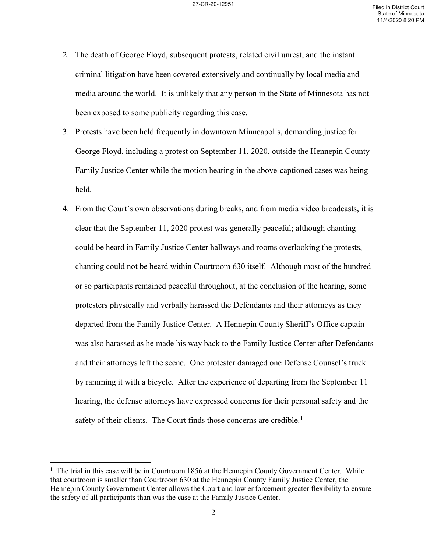- 2. The death of George Floyd, subsequent protests, related civil unrest, and the instant criminal litigation have been covered extensively and continually by local media and media around the world. It is unlikely that any person in the State of Minnesota has not been exposed to some publicity regarding this case.
- 3. Protests have been held frequently in downtown Minneapolis, demanding justice for George Floyd, including a protest on September 11, 2020, outside the Hennepin County Family Justice Center while the motion hearing in the above-captioned cases was being held.
- 4. From the Court's own observations during breaks, and from media video broadcasts, it is clear that the September 11, 2020 protest was generally peaceful; although chanting could be heard in Family Justice Center hallways and rooms overlooking the protests, chanting could not be heard within Courtroom 630 itself. Although most of the hundred or so participants remained peaceful throughout, at the conclusion of the hearing, some protesters physically and verbally harassed the Defendants and their attorneys as they departed from the Family Justice Center. A Hennepin County Sheriff's Office captain was also harassed as he made his way back to the Family Justice Center after Defendants and their attorneys left the scene. One protester damaged one Defense Counsel's truck by ramming it with a bicycle. After the experience of departing from the September 11 hearing, the defense attorneys have expressed concerns for their personal safety and the safety of their clients. The Court finds those concerns are credible.<sup>[1](#page-1-0)</sup>

<span id="page-1-0"></span> $<sup>1</sup>$  The trial in this case will be in Courtroom 1856 at the Hennepin County Government Center. While</sup> that courtroom is smaller than Courtroom 630 at the Hennepin County Family Justice Center, the Hennepin County Government Center allows the Court and law enforcement greater flexibility to ensure the safety of all participants than was the case at the Family Justice Center.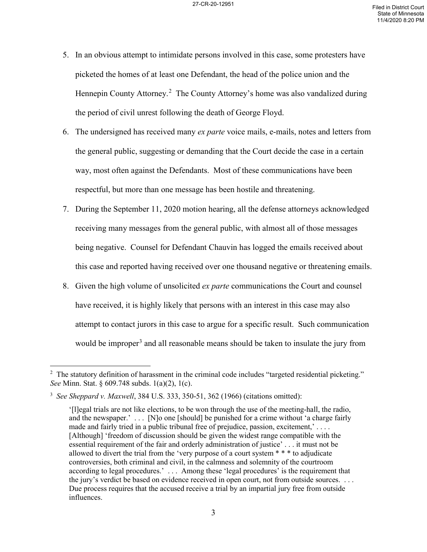- 5. In an obvious attempt to intimidate persons involved in this case, some protesters have picketed the homes of at least one Defendant, the head of the police union and the Hennepin County Attorney.<sup>[2](#page-2-0)</sup> The County Attorney's home was also vandalized during the period of civil unrest following the death of George Floyd.
- 6. The undersigned has received many *ex parte* voice mails, e-mails, notes and letters from the general public, suggesting or demanding that the Court decide the case in a certain way, most often against the Defendants. Most of these communications have been respectful, but more than one message has been hostile and threatening.
- 7. During the September 11, 2020 motion hearing, all the defense attorneys acknowledged receiving many messages from the general public, with almost all of those messages being negative. Counsel for Defendant Chauvin has logged the emails received about this case and reported having received over one thousand negative or threatening emails.
- 8. Given the high volume of unsolicited *ex parte* communications the Court and counsel have received, it is highly likely that persons with an interest in this case may also attempt to contact jurors in this case to argue for a specific result. Such communication would be improper<sup>[3](#page-2-1)</sup> and all reasonable means should be taken to insulate the jury from

<span id="page-2-0"></span><sup>&</sup>lt;sup>2</sup> The statutory definition of harassment in the criminal code includes "targeted residential picketing." *See* Minn. Stat. § 609.748 subds. 1(a)(2), 1(c).

<span id="page-2-1"></span><sup>3</sup> *See Sheppard v. Maxwell*, 384 U.S. 333, 350-51, 362 (1966) (citations omitted):

<sup>&#</sup>x27;[l]egal trials are not like elections, to be won through the use of the meeting-hall, the radio, and the newspaper.' . . . [N]o one [should] be punished for a crime without 'a charge fairly made and fairly tried in a public tribunal free of prejudice, passion, excitement,' . . . . [Although] 'freedom of discussion should be given the widest range compatible with the essential requirement of the fair and orderly administration of justice' . . . it must not be allowed to divert the trial from the 'very purpose of a court system \* \* \* to adjudicate controversies, both criminal and civil, in the calmness and solemnity of the courtroom according to legal procedures.' . . . Among these 'legal procedures' is the requirement that the jury's verdict be based on evidence received in open court, not from outside sources. . . . Due process requires that the accused receive a trial by an impartial jury free from outside influences.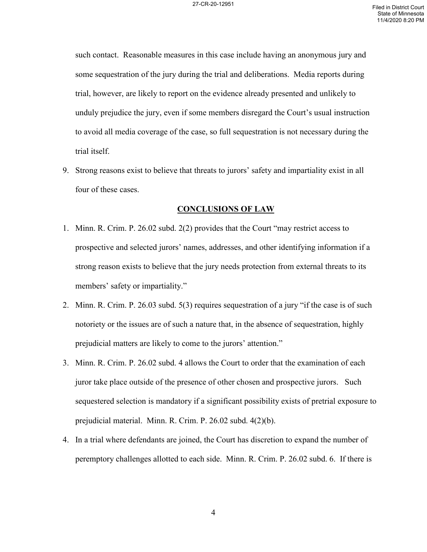such contact. Reasonable measures in this case include having an anonymous jury and some sequestration of the jury during the trial and deliberations. Media reports during trial, however, are likely to report on the evidence already presented and unlikely to unduly prejudice the jury, even if some members disregard the Court's usual instruction to avoid all media coverage of the case, so full sequestration is not necessary during the trial itself.

9. Strong reasons exist to believe that threats to jurors' safety and impartiality exist in all four of these cases.

### **CONCLUSIONS OF LAW**

- 1. Minn. R. Crim. P. 26.02 subd. 2(2) provides that the Court "may restrict access to prospective and selected jurors' names, addresses, and other identifying information if a strong reason exists to believe that the jury needs protection from external threats to its members' safety or impartiality."
- 2. Minn. R. Crim. P. 26.03 subd. 5(3) requires sequestration of a jury "if the case is of such notoriety or the issues are of such a nature that, in the absence of sequestration, highly prejudicial matters are likely to come to the jurors' attention."
- 3. Minn. R. Crim. P. 26.02 subd. 4 allows the Court to order that the examination of each juror take place outside of the presence of other chosen and prospective jurors. Such sequestered selection is mandatory if a significant possibility exists of pretrial exposure to prejudicial material. Minn. R. Crim. P. 26.02 subd. 4(2)(b).
- 4. In a trial where defendants are joined, the Court has discretion to expand the number of peremptory challenges allotted to each side. Minn. R. Crim. P. 26.02 subd. 6. If there is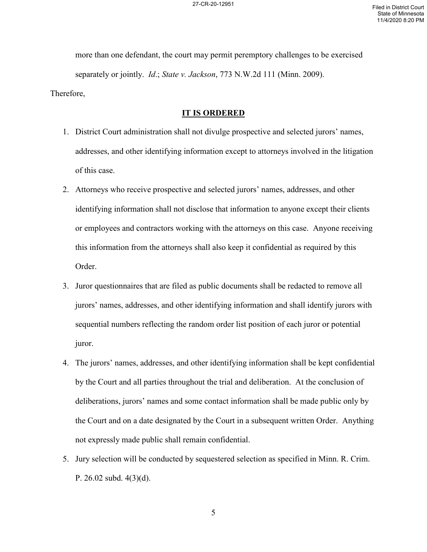more than one defendant, the court may permit peremptory challenges to be exercised separately or jointly. *Id*.; *State v. Jackson*, 773 N.W.2d 111 (Minn. 2009). Therefore,

# **IT IS ORDERED**

- 1. District Court administration shall not divulge prospective and selected jurors' names, addresses, and other identifying information except to attorneys involved in the litigation of this case.
- 2. Attorneys who receive prospective and selected jurors' names, addresses, and other identifying information shall not disclose that information to anyone except their clients or employees and contractors working with the attorneys on this case. Anyone receiving this information from the attorneys shall also keep it confidential as required by this Order.
- 3. Juror questionnaires that are filed as public documents shall be redacted to remove all jurors' names, addresses, and other identifying information and shall identify jurors with sequential numbers reflecting the random order list position of each juror or potential juror.
- 4. The jurors' names, addresses, and other identifying information shall be kept confidential by the Court and all parties throughout the trial and deliberation. At the conclusion of deliberations, jurors' names and some contact information shall be made public only by the Court and on a date designated by the Court in a subsequent written Order. Anything not expressly made public shall remain confidential.
- 5. Jury selection will be conducted by sequestered selection as specified in Minn. R. Crim. P. 26.02 subd. 4(3)(d).

5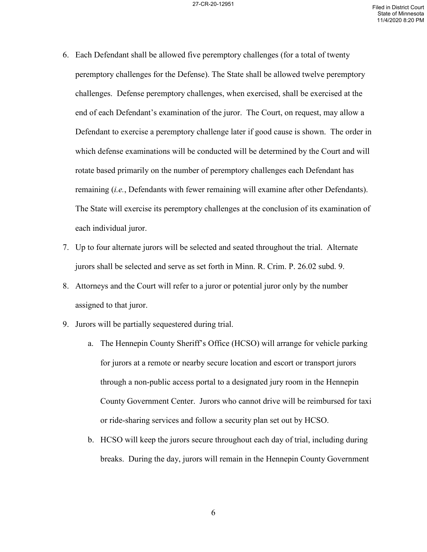- 6. Each Defendant shall be allowed five peremptory challenges (for a total of twenty peremptory challenges for the Defense). The State shall be allowed twelve peremptory challenges. Defense peremptory challenges, when exercised, shall be exercised at the end of each Defendant's examination of the juror. The Court, on request, may allow a Defendant to exercise a peremptory challenge later if good cause is shown. The order in which defense examinations will be conducted will be determined by the Court and will rotate based primarily on the number of peremptory challenges each Defendant has remaining (*i.e.*, Defendants with fewer remaining will examine after other Defendants). The State will exercise its peremptory challenges at the conclusion of its examination of each individual juror.
- 7. Up to four alternate jurors will be selected and seated throughout the trial. Alternate jurors shall be selected and serve as set forth in Minn. R. Crim. P. 26.02 subd. 9.
- 8. Attorneys and the Court will refer to a juror or potential juror only by the number assigned to that juror.
- 9. Jurors will be partially sequestered during trial.
	- a. The Hennepin County Sheriff's Office (HCSO) will arrange for vehicle parking for jurors at a remote or nearby secure location and escort or transport jurors through a non-public access portal to a designated jury room in the Hennepin County Government Center. Jurors who cannot drive will be reimbursed for taxi or ride-sharing services and follow a security plan set out by HCSO.
	- b. HCSO will keep the jurors secure throughout each day of trial, including during breaks. During the day, jurors will remain in the Hennepin County Government

6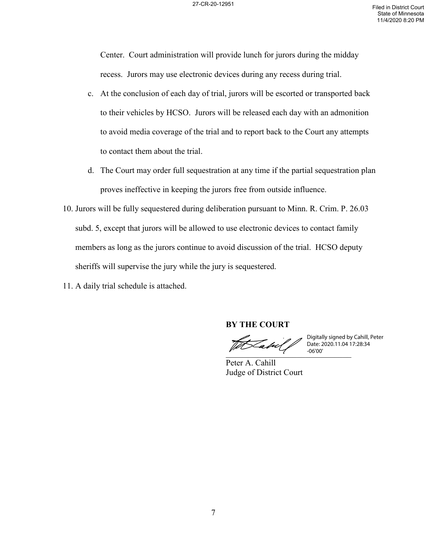Center. Court administration will provide lunch for jurors during the midday recess. Jurors may use electronic devices during any recess during trial.

- c. At the conclusion of each day of trial, jurors will be escorted or transported back to their vehicles by HCSO. Jurors will be released each day with an admonition to avoid media coverage of the trial and to report back to the Court any attempts to contact them about the trial.
- d. The Court may order full sequestration at any time if the partial sequestration plan proves ineffective in keeping the jurors free from outside influence.
- 10. Jurors will be fully sequestered during deliberation pursuant to Minn. R. Crim. P. 26.03 subd. 5, except that jurors will be allowed to use electronic devices to contact family members as long as the jurors continue to avoid discussion of the trial. HCSO deputy sheriffs will supervise the jury while the jury is sequestered.
- 11. A daily trial schedule is attached.

**BY THE COURT**

 $V = 06'00'$ Digitally signed by Cahill, Peter Date: 2020.11.04 17:28:34 -06'00'

Peter A. Cahill Judge of District Court